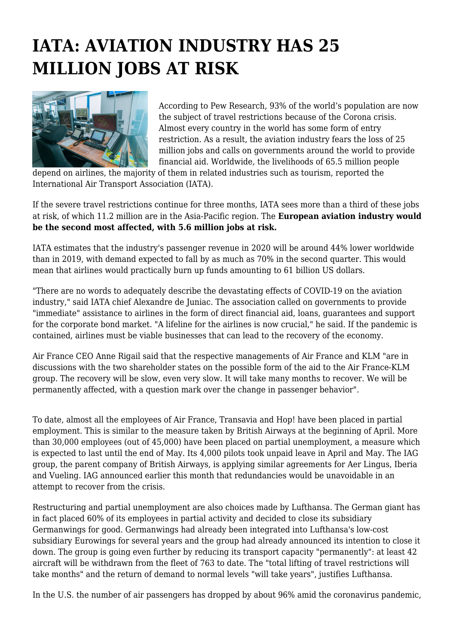## **IATA: AVIATION INDUSTRY HAS 25 MILLION JOBS AT RISK**



According to Pew Research, 93% of the world's population are now the subject of travel restrictions because of the Corona crisis. Almost every country in the world has some form of entry restriction. As a result, the aviation industry fears the loss of 25 million jobs and calls on governments around the world to provide financial aid. Worldwide, the livelihoods of 65.5 million people

depend on airlines, the majority of them in related industries such as tourism, reported the International Air Transport Association (IATA).

If the severe travel restrictions continue for three months, IATA sees more than a third of these jobs at risk, of which 11.2 million are in the Asia-Pacific region. The **European aviation industry would be the second most affected, with 5.6 million jobs at risk.**

IATA estimates that the industry's passenger revenue in 2020 will be around 44% lower worldwide than in 2019, with demand expected to fall by as much as 70% in the second quarter. This would mean that airlines would practically burn up funds amounting to 61 billion US dollars.

"There are no words to adequately describe the devastating effects of COVID-19 on the aviation industry," said IATA chief Alexandre de Juniac. The association called on governments to provide "immediate" assistance to airlines in the form of direct financial aid, loans, guarantees and support for the corporate bond market. "A lifeline for the airlines is now crucial," he said. If the pandemic is contained, airlines must be viable businesses that can lead to the recovery of the economy.

Air France CEO Anne Rigail said that the respective managements of Air France and KLM "are in discussions with the two shareholder states on the possible form of the aid to the Air France-KLM group. The recovery will be slow, even very slow. It will take many months to recover. We will be permanently affected, with a question mark over the change in passenger behavior".

To date, almost all the employees of Air France, Transavia and Hop! have been placed in partial employment. This is similar to the measure taken by British Airways at the beginning of April. More than 30,000 employees (out of 45,000) have been placed on partial unemployment, a measure which is expected to last until the end of May. Its 4,000 pilots took unpaid leave in April and May. The IAG group, the parent company of British Airways, is applying similar agreements for Aer Lingus, Iberia and Vueling. IAG announced earlier this month that redundancies would be unavoidable in an attempt to recover from the crisis.

Restructuring and partial unemployment are also choices made by Lufthansa. The German giant has in fact placed 60% of its employees in partial activity and decided to close its subsidiary Germanwings for good. Germanwings had already been integrated into Lufthansa's low-cost subsidiary Eurowings for several years and the group had already announced its intention to close it down. The group is going even further by reducing its transport capacity "permanently": at least 42 aircraft will be withdrawn from the fleet of 763 to date. The "total lifting of travel restrictions will take months" and the return of demand to normal levels "will take years", justifies Lufthansa.

In the U.S. the number of air passengers has dropped by about 96% amid the coronavirus pandemic,